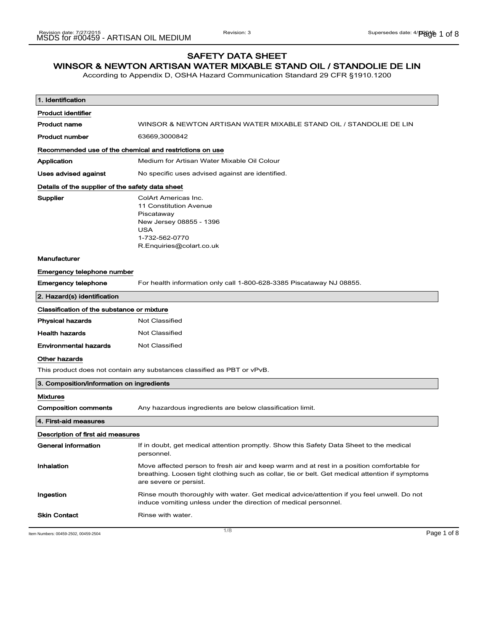## SAFETY DATA SHEET

## WINSOR & NEWTON ARTISAN WATER MIXABLE STAND OIL / STANDOLIE DE LIN

According to Appendix D, OSHA Hazard Communication Standard 29 CFR §1910.1200

| 1. Identification                                       |                                                                                                                                                                                                                        |
|---------------------------------------------------------|------------------------------------------------------------------------------------------------------------------------------------------------------------------------------------------------------------------------|
| <b>Product identifier</b>                               |                                                                                                                                                                                                                        |
| Product name                                            | WINSOR & NEWTON ARTISAN WATER MIXABLE STAND OIL / STANDOLIE DE LIN                                                                                                                                                     |
| <b>Product number</b>                                   | 63669,3000842                                                                                                                                                                                                          |
| Recommended use of the chemical and restrictions on use |                                                                                                                                                                                                                        |
| Application                                             | Medium for Artisan Water Mixable Oil Colour                                                                                                                                                                            |
| Uses advised against                                    | No specific uses advised against are identified.                                                                                                                                                                       |
| Details of the supplier of the safety data sheet        |                                                                                                                                                                                                                        |
| <b>Supplier</b>                                         | ColArt Americas Inc.<br>11 Constitution Avenue<br>Piscataway<br>New Jersey 08855 - 1396<br>USA<br>1-732-562-0770<br>R.Enquiries@colart.co.uk                                                                           |
| <b>Manufacturer</b>                                     |                                                                                                                                                                                                                        |
| Emergency telephone number                              |                                                                                                                                                                                                                        |
| <b>Emergency telephone</b>                              | For health information only call 1-800-628-3385 Piscataway NJ 08855.                                                                                                                                                   |
| 2. Hazard(s) identification                             |                                                                                                                                                                                                                        |
| Classification of the substance or mixture              |                                                                                                                                                                                                                        |
| <b>Physical hazards</b>                                 | <b>Not Classified</b>                                                                                                                                                                                                  |
| <b>Health hazards</b>                                   | Not Classified                                                                                                                                                                                                         |
| <b>Environmental hazards</b>                            | Not Classified                                                                                                                                                                                                         |
| Other hazards                                           |                                                                                                                                                                                                                        |
|                                                         | This product does not contain any substances classified as PBT or vPvB.                                                                                                                                                |
| 3. Composition/information on ingredients               |                                                                                                                                                                                                                        |
| <b>Mixtures</b>                                         |                                                                                                                                                                                                                        |
| <b>Composition comments</b>                             | Any hazardous ingredients are below classification limit.                                                                                                                                                              |
| 4. First-aid measures                                   |                                                                                                                                                                                                                        |
| Description of first aid measures                       |                                                                                                                                                                                                                        |
| General information                                     | If in doubt, get medical attention promptly. Show this Safety Data Sheet to the medical<br>personnel.                                                                                                                  |
| Inhalation                                              | Move affected person to fresh air and keep warm and at rest in a position comfortable for<br>breathing. Loosen tight clothing such as collar, tie or belt. Get medical attention if symptoms<br>are severe or persist. |
| Ingestion                                               | Rinse mouth thoroughly with water. Get medical advice/attention if you feel unwell. Do not<br>induce vomiting unless under the direction of medical personnel.                                                         |
| <b>Skin Contact</b>                                     | Rinse with water.                                                                                                                                                                                                      |
| Item Numbers: 00459-2502, 00459-2504                    | 1/8<br>Page 1 of 8                                                                                                                                                                                                     |
|                                                         |                                                                                                                                                                                                                        |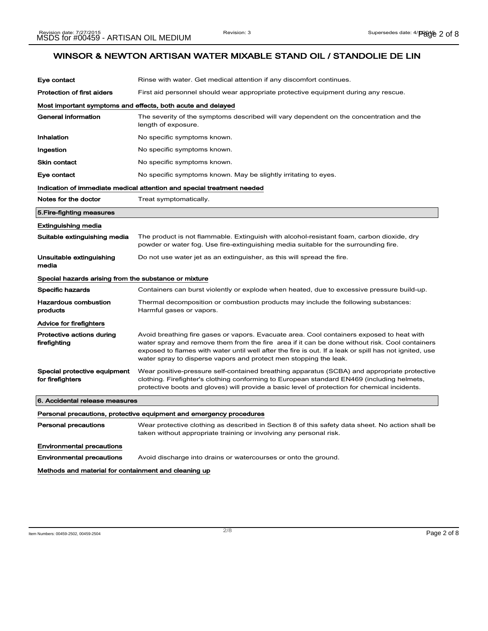| Eye contact                                           | Rinse with water. Get medical attention if any discomfort continues.                                                                                                                                                                                                                                                                                                       |
|-------------------------------------------------------|----------------------------------------------------------------------------------------------------------------------------------------------------------------------------------------------------------------------------------------------------------------------------------------------------------------------------------------------------------------------------|
| <b>Protection of first aiders</b>                     | First aid personnel should wear appropriate protective equipment during any rescue.                                                                                                                                                                                                                                                                                        |
|                                                       | Most important symptoms and effects, both acute and delayed                                                                                                                                                                                                                                                                                                                |
| <b>General information</b>                            | The severity of the symptoms described will vary dependent on the concentration and the<br>length of exposure.                                                                                                                                                                                                                                                             |
| Inhalation                                            | No specific symptoms known.                                                                                                                                                                                                                                                                                                                                                |
| Ingestion                                             | No specific symptoms known.                                                                                                                                                                                                                                                                                                                                                |
| <b>Skin contact</b>                                   | No specific symptoms known.                                                                                                                                                                                                                                                                                                                                                |
| Eye contact                                           | No specific symptoms known. May be slightly irritating to eyes.                                                                                                                                                                                                                                                                                                            |
|                                                       | Indication of immediate medical attention and special treatment needed                                                                                                                                                                                                                                                                                                     |
| Notes for the doctor                                  | Treat symptomatically.                                                                                                                                                                                                                                                                                                                                                     |
| 5. Fire-fighting measures                             |                                                                                                                                                                                                                                                                                                                                                                            |
| <b>Extinguishing media</b>                            |                                                                                                                                                                                                                                                                                                                                                                            |
| Suitable extinguishing media                          | The product is not flammable. Extinguish with alcohol-resistant foam, carbon dioxide, dry<br>powder or water fog. Use fire-extinguishing media suitable for the surrounding fire.                                                                                                                                                                                          |
| Unsuitable extinguishing<br>media                     | Do not use water jet as an extinguisher, as this will spread the fire.                                                                                                                                                                                                                                                                                                     |
| Special hazards arising from the substance or mixture |                                                                                                                                                                                                                                                                                                                                                                            |
| <b>Specific hazards</b>                               | Containers can burst violently or explode when heated, due to excessive pressure build-up.                                                                                                                                                                                                                                                                                 |
| <b>Hazardous combustion</b><br>products               | Thermal decomposition or combustion products may include the following substances:<br>Harmful gases or vapors.                                                                                                                                                                                                                                                             |
| <b>Advice for firefighters</b>                        |                                                                                                                                                                                                                                                                                                                                                                            |
| Protective actions during<br>firefighting             | Avoid breathing fire gases or vapors. Evacuate area. Cool containers exposed to heat with<br>water spray and remove them from the fire area if it can be done without risk. Cool containers<br>exposed to flames with water until well after the fire is out. If a leak or spill has not ignited, use<br>water spray to disperse vapors and protect men stopping the leak. |
| Special protective equipment<br>for firefighters      | Wear positive-pressure self-contained breathing apparatus (SCBA) and appropriate protective<br>clothing. Firefighter's clothing conforming to European standard EN469 (including helmets,<br>protective boots and gloves) will provide a basic level of protection for chemical incidents.                                                                                 |
| 6. Accidental release measures                        |                                                                                                                                                                                                                                                                                                                                                                            |
|                                                       | Personal precautions, protective equipment and emergency procedures                                                                                                                                                                                                                                                                                                        |
| <b>Personal precautions</b>                           | Wear protective clothing as described in Section 8 of this safety data sheet. No action shall be<br>taken without appropriate training or involving any personal risk.                                                                                                                                                                                                     |
| <b>Environmental precautions</b>                      |                                                                                                                                                                                                                                                                                                                                                                            |
| <b>Environmental precautions</b>                      | Avoid discharge into drains or watercourses or onto the ground.                                                                                                                                                                                                                                                                                                            |
| Methods and material for containment and cleaning up  |                                                                                                                                                                                                                                                                                                                                                                            |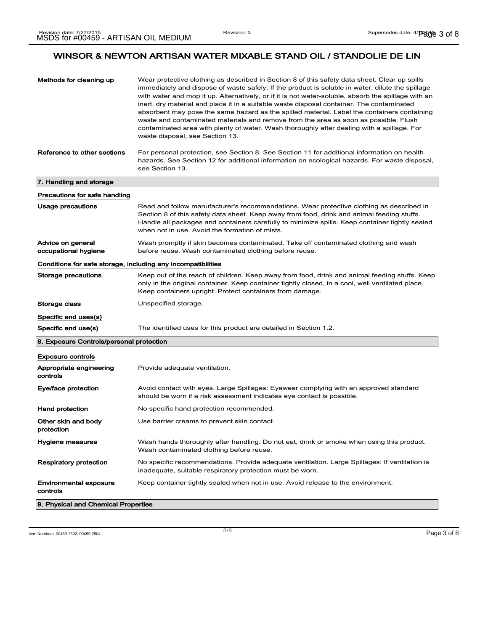| Methods for cleaning up                                      | Wear protective clothing as described in Section 8 of this safety data sheet. Clear up spills<br>immediately and dispose of waste safely. If the product is soluble in water, dilute the spillage<br>with water and mop it up. Alternatively, or if it is not water-soluble, absorb the spillage with an<br>inert, dry material and place it in a suitable waste disposal container. The contaminated<br>absorbent may pose the same hazard as the spilled material. Label the containers containing<br>waste and contaminated materials and remove from the area as soon as possible. Flush<br>contaminated area with plenty of water. Wash thoroughly after dealing with a spillage. For<br>waste disposal, see Section 13. |
|--------------------------------------------------------------|-------------------------------------------------------------------------------------------------------------------------------------------------------------------------------------------------------------------------------------------------------------------------------------------------------------------------------------------------------------------------------------------------------------------------------------------------------------------------------------------------------------------------------------------------------------------------------------------------------------------------------------------------------------------------------------------------------------------------------|
| Reference to other sections                                  | For personal protection, see Section 8. See Section 11 for additional information on health<br>hazards. See Section 12 for additional information on ecological hazards. For waste disposal,<br>see Section 13.                                                                                                                                                                                                                                                                                                                                                                                                                                                                                                               |
| 7. Handling and storage                                      |                                                                                                                                                                                                                                                                                                                                                                                                                                                                                                                                                                                                                                                                                                                               |
| Precautions for safe handling                                |                                                                                                                                                                                                                                                                                                                                                                                                                                                                                                                                                                                                                                                                                                                               |
| Usage precautions                                            | Read and follow manufacturer's recommendations. Wear protective clothing as described in<br>Section 8 of this safety data sheet. Keep away from food, drink and animal feeding stuffs.<br>Handle all packages and containers carefully to minimize spills. Keep container tightly sealed<br>when not in use. Avoid the formation of mists.                                                                                                                                                                                                                                                                                                                                                                                    |
| Advice on general<br>occupational hygiene                    | Wash promptly if skin becomes contaminated. Take off contaminated clothing and wash<br>before reuse. Wash contaminated clothing before reuse.                                                                                                                                                                                                                                                                                                                                                                                                                                                                                                                                                                                 |
| Conditions for safe storage, including any incompatibilities |                                                                                                                                                                                                                                                                                                                                                                                                                                                                                                                                                                                                                                                                                                                               |
| Storage precautions                                          | Keep out of the reach of children. Keep away from food, drink and animal feeding stuffs. Keep<br>only in the original container. Keep container tightly closed, in a cool, well ventilated place.<br>Keep containers upright. Protect containers from damage.                                                                                                                                                                                                                                                                                                                                                                                                                                                                 |
| Storage class                                                | Unspecified storage.                                                                                                                                                                                                                                                                                                                                                                                                                                                                                                                                                                                                                                                                                                          |
| Specific end uses(s)                                         |                                                                                                                                                                                                                                                                                                                                                                                                                                                                                                                                                                                                                                                                                                                               |
| Specific end use(s)                                          | The identified uses for this product are detailed in Section 1.2.                                                                                                                                                                                                                                                                                                                                                                                                                                                                                                                                                                                                                                                             |
| 8. Exposure Controls/personal protection                     |                                                                                                                                                                                                                                                                                                                                                                                                                                                                                                                                                                                                                                                                                                                               |
| <b>Exposure controls</b>                                     |                                                                                                                                                                                                                                                                                                                                                                                                                                                                                                                                                                                                                                                                                                                               |
| Appropriate engineering<br>controls                          | Provide adequate ventilation.                                                                                                                                                                                                                                                                                                                                                                                                                                                                                                                                                                                                                                                                                                 |
| Eye/face protection                                          | Avoid contact with eyes. Large Spillages: Eyewear complying with an approved standard<br>should be worn if a risk assessment indicates eye contact is possible.                                                                                                                                                                                                                                                                                                                                                                                                                                                                                                                                                               |
| Hand protection                                              | No specific hand protection recommended.                                                                                                                                                                                                                                                                                                                                                                                                                                                                                                                                                                                                                                                                                      |
| Other skin and body<br>protection                            | Use barrier creams to prevent skin contact.                                                                                                                                                                                                                                                                                                                                                                                                                                                                                                                                                                                                                                                                                   |
| Hygiene measures                                             | Wash hands thoroughly after handling. Do not eat, drink or smoke when using this product.<br>Wash contaminated clothing before reuse.                                                                                                                                                                                                                                                                                                                                                                                                                                                                                                                                                                                         |
| Respiratory protection                                       | No specific recommendations. Provide adequate ventilation. Large Spillages: If ventilation is<br>inadequate, suitable respiratory protection must be worn.                                                                                                                                                                                                                                                                                                                                                                                                                                                                                                                                                                    |
| Environmental exposure<br>controls                           | Keep container tightly sealed when not in use. Avoid release to the environment.                                                                                                                                                                                                                                                                                                                                                                                                                                                                                                                                                                                                                                              |
| 9. Physical and Chemical Properties                          |                                                                                                                                                                                                                                                                                                                                                                                                                                                                                                                                                                                                                                                                                                                               |

Item Numbers: 00459-2502, 00459-2504 Page 3 of 8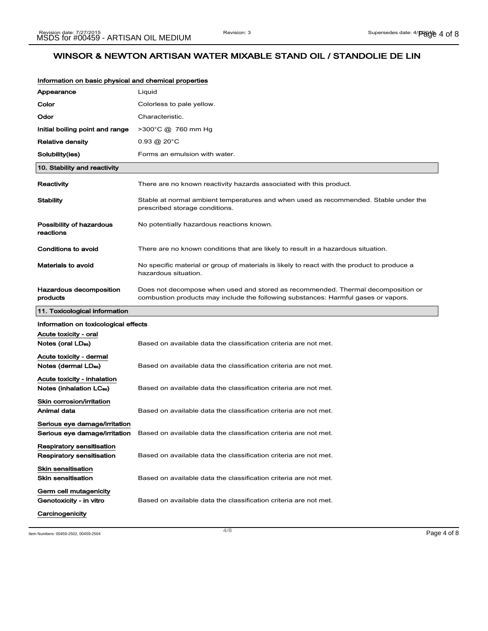| Information on basic physical and chemical properties                |                                                                                                                        |
|----------------------------------------------------------------------|------------------------------------------------------------------------------------------------------------------------|
| Appearance                                                           | Liquid                                                                                                                 |
| Color                                                                | Colorless to pale yellow.                                                                                              |
| Odor                                                                 | Characteristic.                                                                                                        |
| Initial boiling point and range                                      | >300°C @ 760 mm Hg                                                                                                     |
| <b>Relative density</b>                                              | $0.93 \; @.20 \degree C$                                                                                               |
| Solubility(ies)                                                      | Forms an emulsion with water.                                                                                          |
| 10. Stability and reactivity                                         |                                                                                                                        |
| Reactivity                                                           | There are no known reactivity hazards associated with this product.                                                    |
| Stability                                                            | Stable at normal ambient temperatures and when used as recommended. Stable under the<br>prescribed storage conditions. |
| Possibility of hazardous<br>reactions                                | No potentially hazardous reactions known.                                                                              |
| Conditions to avoid                                                  | There are no known conditions that are likely to result in a hazardous situation.                                      |
| Materials to avoid                                                   | No specific material or group of materials is likely to react with the product to produce a<br>hazardous situation.    |
| Hazardous decomposition                                              | Does not decompose when used and stored as recommended. Thermal decomposition or                                       |
| products                                                             | combustion products may include the following substances: Harmful gases or vapors.                                     |
| 11. Toxicological information                                        |                                                                                                                        |
| Information on toxicological effects                                 |                                                                                                                        |
| Acute toxicity - oral<br>Notes (oral LD <sub>50</sub> )              | Based on available data the classification criteria are not met.                                                       |
| Acute toxicity - dermal<br>Notes (dermal LD <sub>so</sub> )          | Based on available data the classification criteria are not met.                                                       |
| Acute toxicity - inhalation<br>Notes (inhalation LC <sub>50</sub> )  | Based on available data the classification criteria are not met.                                                       |
| <b>Skin corrosion/irritation</b><br>Animal data                      | Based on available data the classification criteria are not met.                                                       |
| Serious eye damage/irritation                                        | Serious eye damage/irritation Based on available data the classification criteria are not met.                         |
| <b>Respiratory sensitisation</b><br><b>Respiratory sensitisation</b> | Based on available data the classification criteria are not met.                                                       |
| <b>Skin sensitisation</b><br><b>Skin sensitisation</b>               | Based on available data the classification criteria are not met.                                                       |
| Germ cell mutagenicity<br>Genotoxicity - in vitro                    | Based on available data the classification criteria are not met.                                                       |

Item Numbers: 00459-2502, 00459-2504 Page 4 of 8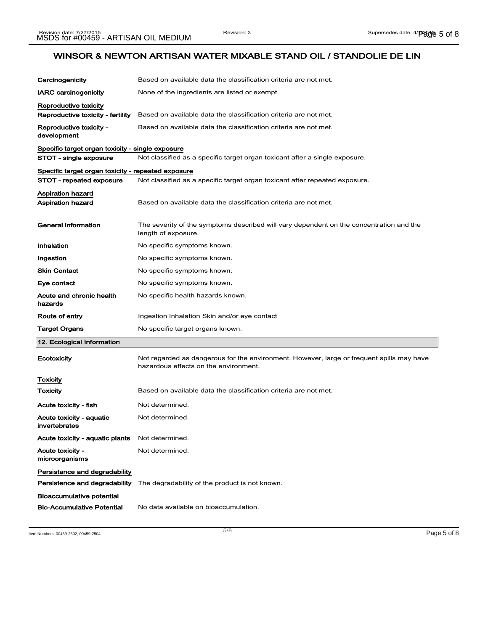| Carcinogenicity                                      | Based on available data the classification criteria are not met.                                                                   |
|------------------------------------------------------|------------------------------------------------------------------------------------------------------------------------------------|
| <b>IARC</b> carcinogenicity                          | None of the ingredients are listed or exempt.                                                                                      |
| Reproductive toxicity                                |                                                                                                                                    |
| Reproductive toxicity - fertility                    | Based on available data the classification criteria are not met.                                                                   |
| Reproductive toxicity -<br>development               | Based on available data the classification criteria are not met.                                                                   |
| Specific target organ toxicity - single exposure     |                                                                                                                                    |
| STOT - single exposure                               | Not classified as a specific target organ toxicant after a single exposure.                                                        |
| Specific target organ toxicity - repeated exposure   |                                                                                                                                    |
| STOT - repeated exposure                             | Not classified as a specific target organ toxicant after repeated exposure.                                                        |
| <b>Aspiration hazard</b><br><b>Aspiration hazard</b> | Based on available data the classification criteria are not met.                                                                   |
| <b>General information</b>                           | The severity of the symptoms described will vary dependent on the concentration and the<br>length of exposure.                     |
| Inhalation                                           | No specific symptoms known.                                                                                                        |
| Ingestion                                            | No specific symptoms known.                                                                                                        |
| <b>Skin Contact</b>                                  | No specific symptoms known.                                                                                                        |
| Eye contact                                          | No specific symptoms known.                                                                                                        |
| Acute and chronic health<br>hazards                  | No specific health hazards known.                                                                                                  |
| Route of entry                                       | Ingestion Inhalation Skin and/or eye contact                                                                                       |
| <b>Target Organs</b>                                 | No specific target organs known.                                                                                                   |
| 12. Ecological Information                           |                                                                                                                                    |
| Ecotoxicity                                          | Not regarded as dangerous for the environment. However, large or frequent spills may have<br>hazardous effects on the environment. |
| <b>Toxicity</b>                                      |                                                                                                                                    |
| Toxicity                                             | Based on available data the classification criteria are not met.                                                                   |
| Acute toxicity - fish                                | Not determined.                                                                                                                    |
| Acute toxicity - aquatic<br>invertebrates            | Not determined.                                                                                                                    |
| Acute toxicity - aquatic plants                      | Not determined.                                                                                                                    |
| Acute toxicity -<br>microorganisms                   | Not determined.                                                                                                                    |
| Persistance and degradability                        |                                                                                                                                    |
| Persistence and degradability                        | The degradability of the product is not known.                                                                                     |
| <b>Bioaccumulative potential</b>                     |                                                                                                                                    |
| <b>Bio-Accumulative Potential</b>                    | No data available on bioaccumulation.                                                                                              |

Item Numbers: 00459-2502, 00459-2504 Page 5 of 8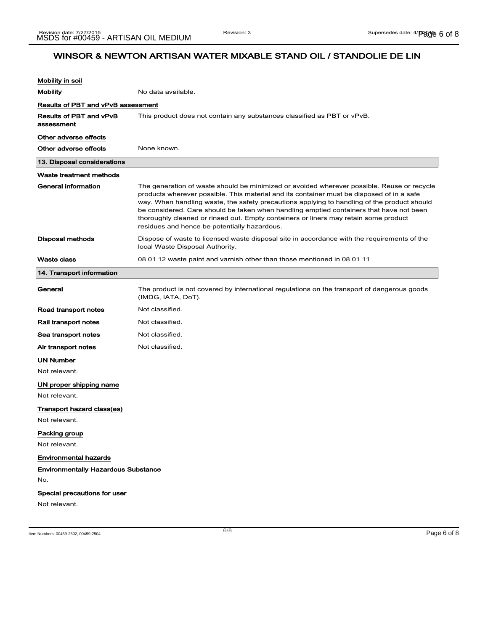| Mobility in soil                             |                                                                                                                                                                                                                                                                                                                                                                                                                                                                                                                           |
|----------------------------------------------|---------------------------------------------------------------------------------------------------------------------------------------------------------------------------------------------------------------------------------------------------------------------------------------------------------------------------------------------------------------------------------------------------------------------------------------------------------------------------------------------------------------------------|
| <b>Mobility</b>                              | No data available.                                                                                                                                                                                                                                                                                                                                                                                                                                                                                                        |
| Results of PBT and vPvB assessment           |                                                                                                                                                                                                                                                                                                                                                                                                                                                                                                                           |
| <b>Results of PBT and vPvB</b><br>assessment | This product does not contain any substances classified as PBT or vPvB.                                                                                                                                                                                                                                                                                                                                                                                                                                                   |
| Other adverse effects                        |                                                                                                                                                                                                                                                                                                                                                                                                                                                                                                                           |
| Other adverse effects                        | None known.                                                                                                                                                                                                                                                                                                                                                                                                                                                                                                               |
| 13. Disposal considerations                  |                                                                                                                                                                                                                                                                                                                                                                                                                                                                                                                           |
| Waste treatment methods                      |                                                                                                                                                                                                                                                                                                                                                                                                                                                                                                                           |
| <b>General information</b>                   | The generation of waste should be minimized or avoided wherever possible. Reuse or recycle<br>products wherever possible. This material and its container must be disposed of in a safe<br>way. When handling waste, the safety precautions applying to handling of the product should<br>be considered. Care should be taken when handling emptied containers that have not been<br>thoroughly cleaned or rinsed out. Empty containers or liners may retain some product<br>residues and hence be potentially hazardous. |
| Disposal methods                             | Dispose of waste to licensed waste disposal site in accordance with the requirements of the<br>local Waste Disposal Authority.                                                                                                                                                                                                                                                                                                                                                                                            |
| <b>Waste class</b>                           | 08 01 12 waste paint and varnish other than those mentioned in 08 01 11                                                                                                                                                                                                                                                                                                                                                                                                                                                   |
| 14. Transport information                    |                                                                                                                                                                                                                                                                                                                                                                                                                                                                                                                           |
| General                                      | The product is not covered by international regulations on the transport of dangerous goods<br>(IMDG, IATA, DoT).                                                                                                                                                                                                                                                                                                                                                                                                         |
| Road transport notes                         | Not classified.                                                                                                                                                                                                                                                                                                                                                                                                                                                                                                           |
| Rail transport notes                         | Not classified.                                                                                                                                                                                                                                                                                                                                                                                                                                                                                                           |
| Sea transport notes                          | Not classified.                                                                                                                                                                                                                                                                                                                                                                                                                                                                                                           |
| Air transport notes                          | Not classified.                                                                                                                                                                                                                                                                                                                                                                                                                                                                                                           |
| <b>UN Number</b>                             |                                                                                                                                                                                                                                                                                                                                                                                                                                                                                                                           |
| Not relevant.                                |                                                                                                                                                                                                                                                                                                                                                                                                                                                                                                                           |
| UN proper shipping name                      |                                                                                                                                                                                                                                                                                                                                                                                                                                                                                                                           |
| Not relevant.                                |                                                                                                                                                                                                                                                                                                                                                                                                                                                                                                                           |
| Transport hazard class(es)                   |                                                                                                                                                                                                                                                                                                                                                                                                                                                                                                                           |
| Not relevant.                                |                                                                                                                                                                                                                                                                                                                                                                                                                                                                                                                           |
| Packing group                                |                                                                                                                                                                                                                                                                                                                                                                                                                                                                                                                           |
| Not relevant.                                |                                                                                                                                                                                                                                                                                                                                                                                                                                                                                                                           |
| <b>Environmental hazards</b>                 |                                                                                                                                                                                                                                                                                                                                                                                                                                                                                                                           |
| <b>Environmentally Hazardous Substance</b>   |                                                                                                                                                                                                                                                                                                                                                                                                                                                                                                                           |
| No.                                          |                                                                                                                                                                                                                                                                                                                                                                                                                                                                                                                           |
| Special precautions for user                 |                                                                                                                                                                                                                                                                                                                                                                                                                                                                                                                           |
| Not relevant.                                |                                                                                                                                                                                                                                                                                                                                                                                                                                                                                                                           |
|                                              |                                                                                                                                                                                                                                                                                                                                                                                                                                                                                                                           |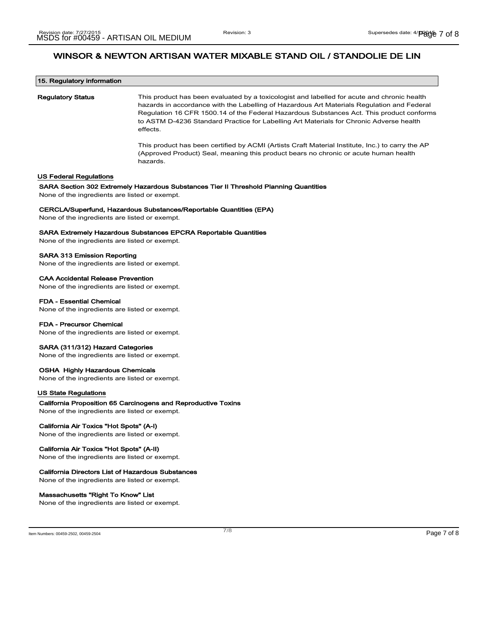| 15. Regulatory information<br><b>Regulatory Status</b>                                                    | This product has been evaluated by a toxicologist and labelled for acute and chronic health<br>hazards in accordance with the Labelling of Hazardous Art Materials Regulation and Federal<br>Regulation 16 CFR 1500.14 of the Federal Hazardous Substances Act. This product conforms<br>to ASTM D-4236 Standard Practice for Labelling Art Materials for Chronic Adverse health<br>effects. |  |
|-----------------------------------------------------------------------------------------------------------|----------------------------------------------------------------------------------------------------------------------------------------------------------------------------------------------------------------------------------------------------------------------------------------------------------------------------------------------------------------------------------------------|--|
|                                                                                                           | This product has been certified by ACMI (Artists Craft Material Institute, Inc.) to carry the AP<br>(Approved Product) Seal, meaning this product bears no chronic or acute human health<br>hazards.                                                                                                                                                                                         |  |
| US Federal Regulations                                                                                    |                                                                                                                                                                                                                                                                                                                                                                                              |  |
| None of the ingredients are listed or exempt.                                                             | SARA Section 302 Extremely Hazardous Substances Tier II Threshold Planning Quantities                                                                                                                                                                                                                                                                                                        |  |
| None of the ingredients are listed or exempt.                                                             | <b>CERCLA/Superfund, Hazardous Substances/Reportable Quantities (EPA)</b>                                                                                                                                                                                                                                                                                                                    |  |
| None of the ingredients are listed or exempt.                                                             | <b>SARA Extremely Hazardous Substances EPCRA Reportable Quantities</b>                                                                                                                                                                                                                                                                                                                       |  |
| <b>SARA 313 Emission Reporting</b><br>None of the ingredients are listed or exempt.                       |                                                                                                                                                                                                                                                                                                                                                                                              |  |
| <b>CAA Accidental Release Prevention</b><br>None of the ingredients are listed or exempt.                 |                                                                                                                                                                                                                                                                                                                                                                                              |  |
| <b>FDA - Essential Chemical</b><br>None of the ingredients are listed or exempt.                          |                                                                                                                                                                                                                                                                                                                                                                                              |  |
| <b>FDA - Precursor Chemical</b><br>None of the ingredients are listed or exempt.                          |                                                                                                                                                                                                                                                                                                                                                                                              |  |
| SARA (311/312) Hazard Categories<br>None of the ingredients are listed or exempt.                         |                                                                                                                                                                                                                                                                                                                                                                                              |  |
| <b>OSHA Highly Hazardous Chemicals</b><br>None of the ingredients are listed or exempt.                   |                                                                                                                                                                                                                                                                                                                                                                                              |  |
| <b>US State Regulations</b>                                                                               |                                                                                                                                                                                                                                                                                                                                                                                              |  |
| None of the ingredients are listed or exempt.                                                             | California Proposition 65 Carcinogens and Reproductive Toxins                                                                                                                                                                                                                                                                                                                                |  |
| California Air Toxics "Hot Spots" (A-I)<br>None of the ingredients are listed or exempt.                  |                                                                                                                                                                                                                                                                                                                                                                                              |  |
| California Air Toxics "Hot Spots" (A-II)<br>None of the ingredients are listed or exempt.                 |                                                                                                                                                                                                                                                                                                                                                                                              |  |
| <b>California Directors List of Hazardous Substances</b><br>None of the ingredients are listed or exempt. |                                                                                                                                                                                                                                                                                                                                                                                              |  |
| Massachusetts "Right To Know" List<br>None of the ingredients are listed or exempt.                       |                                                                                                                                                                                                                                                                                                                                                                                              |  |
|                                                                                                           |                                                                                                                                                                                                                                                                                                                                                                                              |  |